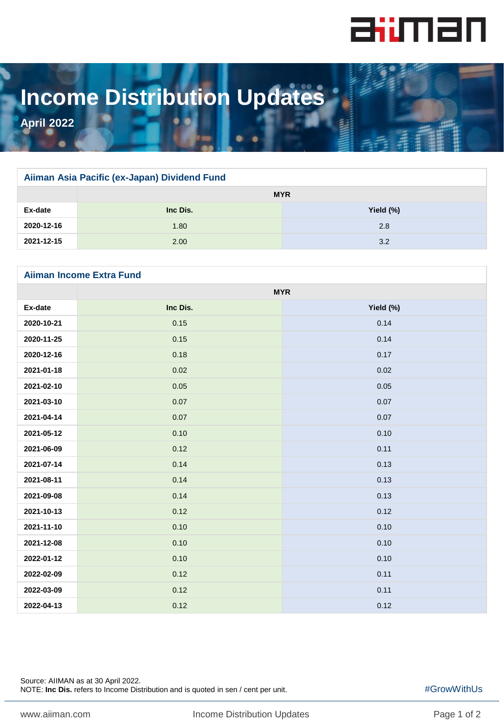

# **Income Distribution Updates**

**April 2022**

### **Aiiman Asia Pacific (ex-Japan) Dividend Fund**

|            | <b>MYR</b> |           |
|------------|------------|-----------|
| Ex-date    | Inc Dis.   | Yield (%) |
| 2020-12-16 | 1.80       | 2.8       |
| 2021-12-15 | 2.00       | 3.2       |

## **Aiiman Income Extra Fund**

|            | <b>MYR</b> |           |
|------------|------------|-----------|
| Ex-date    | Inc Dis.   | Yield (%) |
| 2020-10-21 | 0.15       | 0.14      |
| 2020-11-25 | 0.15       | 0.14      |
| 2020-12-16 | 0.18       | 0.17      |
| 2021-01-18 | 0.02       | 0.02      |
| 2021-02-10 | 0.05       | 0.05      |
| 2021-03-10 | 0.07       | 0.07      |
| 2021-04-14 | 0.07       | 0.07      |
| 2021-05-12 | 0.10       | 0.10      |
| 2021-06-09 | 0.12       | 0.11      |
| 2021-07-14 | 0.14       | 0.13      |
| 2021-08-11 | 0.14       | 0.13      |
| 2021-09-08 | 0.14       | 0.13      |
| 2021-10-13 | 0.12       | 0.12      |
| 2021-11-10 | 0.10       | 0.10      |
| 2021-12-08 | 0.10       | 0.10      |
| 2022-01-12 | 0.10       | 0.10      |
| 2022-02-09 | 0.12       | 0.11      |
| 2022-03-09 | 0.12       | 0.11      |
| 2022-04-13 | 0.12       | 0.12      |

Source: AIIMAN as at 30 April 2022. NOTE: **Inc Dis.** refers to Income Distribution and is quoted in sen / cent per unit.

#GrowWithUs